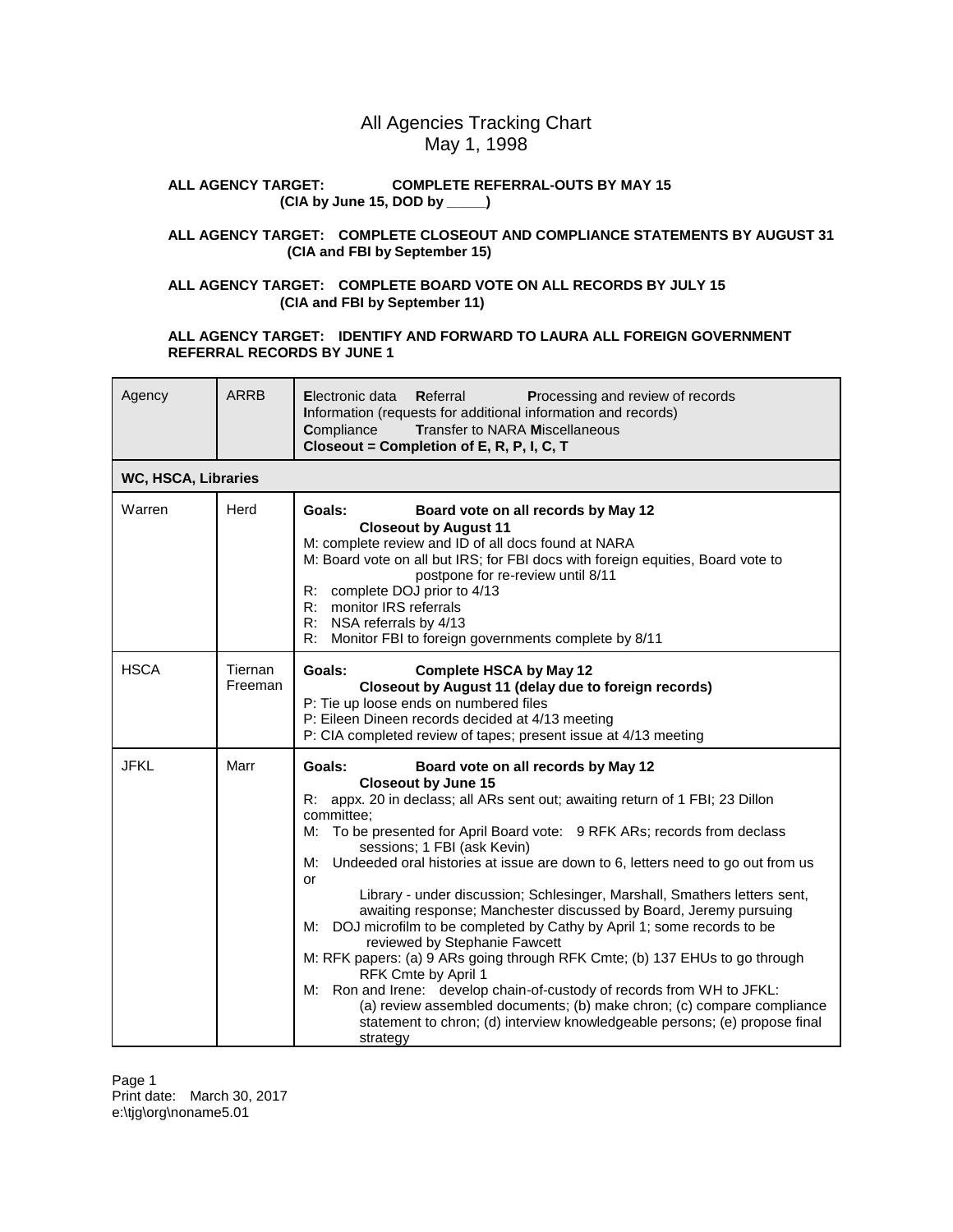# All Agencies Tracking Chart May 1, 1998

#### **ALL AGENCY TARGET: COMPLETE REFERRAL-OUTS BY MAY 15 (CIA by June 15, DOD by \_\_\_\_\_)**

## **ALL AGENCY TARGET: COMPLETE CLOSEOUT AND COMPLIANCE STATEMENTS BY AUGUST 31 (CIA and FBI by September 15)**

## **ALL AGENCY TARGET: COMPLETE BOARD VOTE ON ALL RECORDS BY JULY 15 (CIA and FBI by September 11)**

### **ALL AGENCY TARGET: IDENTIFY AND FORWARD TO LAURA ALL FOREIGN GOVERNMENT REFERRAL RECORDS BY JUNE 1**

| Agency              | <b>ARRB</b>        | Electronic data Referral<br>Processing and review of records<br>Information (requests for additional information and records)<br><b>Transfer to NARA Miscellaneous</b><br>Compliance<br>Closeout = Completion of E, R, P, I, C, T                                                                                                                                                                                                                                                                                                                                                                                                                                                                                                                                                                                                                                                                                                                                                                         |  |
|---------------------|--------------------|-----------------------------------------------------------------------------------------------------------------------------------------------------------------------------------------------------------------------------------------------------------------------------------------------------------------------------------------------------------------------------------------------------------------------------------------------------------------------------------------------------------------------------------------------------------------------------------------------------------------------------------------------------------------------------------------------------------------------------------------------------------------------------------------------------------------------------------------------------------------------------------------------------------------------------------------------------------------------------------------------------------|--|
| WC, HSCA, Libraries |                    |                                                                                                                                                                                                                                                                                                                                                                                                                                                                                                                                                                                                                                                                                                                                                                                                                                                                                                                                                                                                           |  |
| Warren              | Herd               | Goals:<br>Board vote on all records by May 12<br><b>Closeout by August 11</b><br>M: complete review and ID of all docs found at NARA<br>M: Board vote on all but IRS; for FBI docs with foreign equities, Board vote to<br>postpone for re-review until 8/11<br>R: complete DOJ prior to 4/13<br>R: monitor IRS referrals<br>R: NSA referrals by 4/13<br>R:<br>Monitor FBI to foreign governments complete by 8/11                                                                                                                                                                                                                                                                                                                                                                                                                                                                                                                                                                                        |  |
| <b>HSCA</b>         | Tiernan<br>Freeman | Goals:<br><b>Complete HSCA by May 12</b><br>Closeout by August 11 (delay due to foreign records)<br>P: Tie up loose ends on numbered files<br>P: Eileen Dineen records decided at 4/13 meeting<br>P: CIA completed review of tapes; present issue at 4/13 meeting                                                                                                                                                                                                                                                                                                                                                                                                                                                                                                                                                                                                                                                                                                                                         |  |
| <b>JFKL</b>         | Marr               | Goals:<br>Board vote on all records by May 12<br><b>Closeout by June 15</b><br>R: appx. 20 in declass; all ARs sent out; awaiting return of 1 FBI; 23 Dillon<br>committee;<br>To be presented for April Board vote: 9 RFK ARs; records from declass<br>М:<br>sessions; 1 FBI (ask Kevin)<br>M: Undeeded oral histories at issue are down to 6, letters need to go out from us<br>or<br>Library - under discussion; Schlesinger, Marshall, Smathers letters sent,<br>awaiting response; Manchester discussed by Board, Jeremy pursuing<br>DOJ microfilm to be completed by Cathy by April 1; some records to be<br>М:<br>reviewed by Stephanie Fawcett<br>M: RFK papers: (a) 9 ARs going through RFK Cmte; (b) 137 EHUs to go through<br>RFK Cmte by April 1<br>M: Ron and Irene: develop chain-of-custody of records from WH to JFKL:<br>(a) review assembled documents; (b) make chron; (c) compare compliance<br>statement to chron; (d) interview knowledgeable persons; (e) propose final<br>strategy |  |

Page 1 Print date: March 30, 2017 e:\tjg\org\noname5.01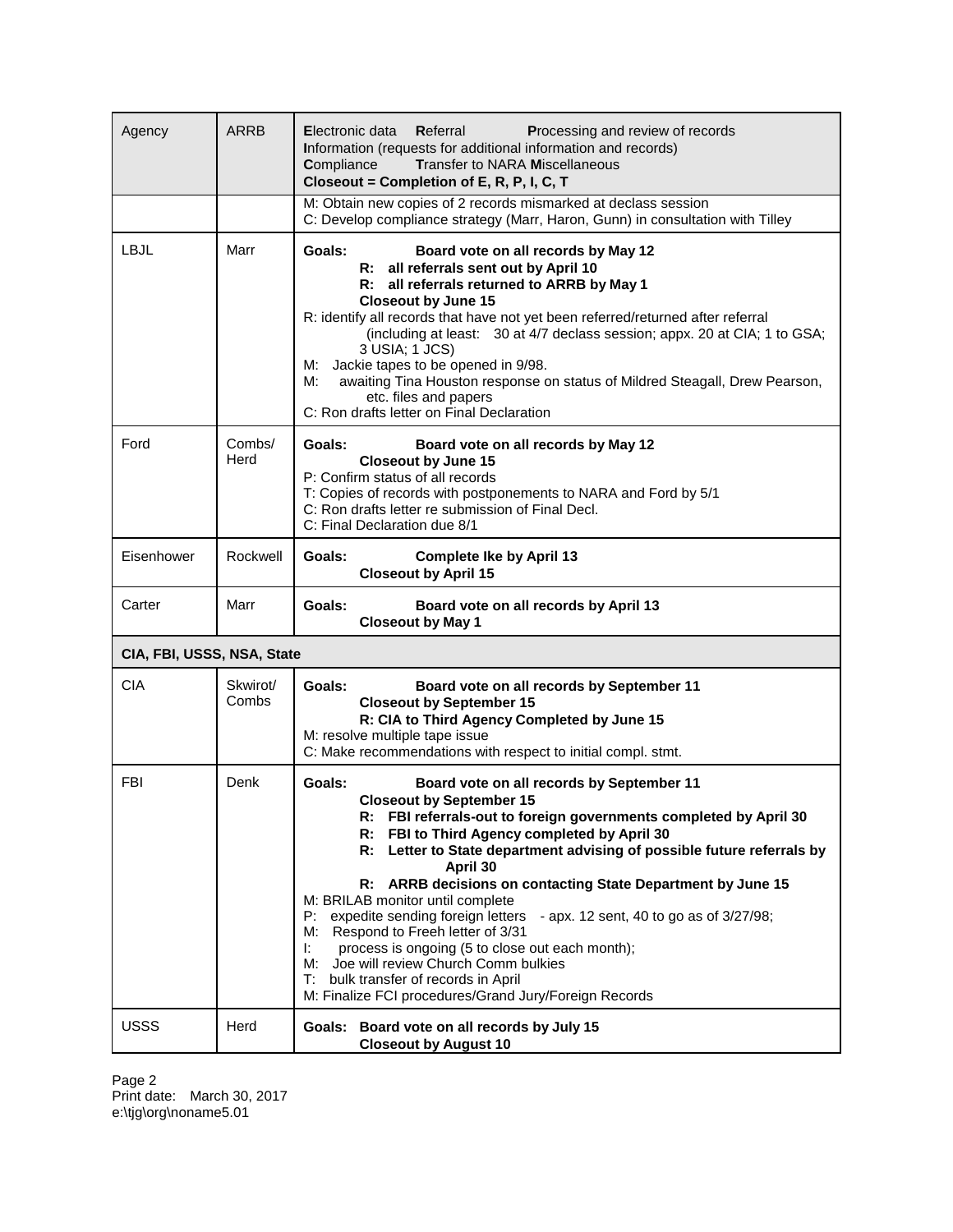| Agency                     | <b>ARRB</b>       | Electronic data<br>Referral<br>Processing and review of records<br>Information (requests for additional information and records)<br><b>Transfer to NARA Miscellaneous</b><br>Compliance<br>Closeout = Completion of E, R, P, I, C, T                                                                                                                                                                                                                                                                                                                                                                                                                                                                                                                     |
|----------------------------|-------------------|----------------------------------------------------------------------------------------------------------------------------------------------------------------------------------------------------------------------------------------------------------------------------------------------------------------------------------------------------------------------------------------------------------------------------------------------------------------------------------------------------------------------------------------------------------------------------------------------------------------------------------------------------------------------------------------------------------------------------------------------------------|
|                            |                   | M: Obtain new copies of 2 records mismarked at declass session<br>C: Develop compliance strategy (Marr, Haron, Gunn) in consultation with Tilley                                                                                                                                                                                                                                                                                                                                                                                                                                                                                                                                                                                                         |
| <b>LBJL</b>                | Marr              | Goals:<br>Board vote on all records by May 12<br>R: all referrals sent out by April 10<br>R: all referrals returned to ARRB by May 1<br><b>Closeout by June 15</b><br>R: identify all records that have not yet been referred/returned after referral<br>(including at least: 30 at 4/7 declass session; appx. 20 at CIA; 1 to GSA;<br>3 USIA; 1 JCS)<br>Jackie tapes to be opened in 9/98.<br>М:<br>M:<br>awaiting Tina Houston response on status of Mildred Steagall, Drew Pearson,<br>etc. files and papers<br>C: Ron drafts letter on Final Declaration                                                                                                                                                                                             |
| Ford                       | Combs/<br>Herd    | Goals:<br>Board vote on all records by May 12<br><b>Closeout by June 15</b><br>P: Confirm status of all records<br>T: Copies of records with postponements to NARA and Ford by 5/1<br>C: Ron drafts letter re submission of Final Decl.<br>C: Final Declaration due 8/1                                                                                                                                                                                                                                                                                                                                                                                                                                                                                  |
| Eisenhower                 | Rockwell          | Goals:<br><b>Complete Ike by April 13</b><br><b>Closeout by April 15</b>                                                                                                                                                                                                                                                                                                                                                                                                                                                                                                                                                                                                                                                                                 |
| Carter                     | Marr              | Goals:<br>Board vote on all records by April 13<br><b>Closeout by May 1</b>                                                                                                                                                                                                                                                                                                                                                                                                                                                                                                                                                                                                                                                                              |
| CIA, FBI, USSS, NSA, State |                   |                                                                                                                                                                                                                                                                                                                                                                                                                                                                                                                                                                                                                                                                                                                                                          |
| <b>CIA</b>                 | Skwirot/<br>Combs | Goals:<br>Board vote on all records by September 11<br><b>Closeout by September 15</b><br>R: CIA to Third Agency Completed by June 15<br>M: resolve multiple tape issue<br>C: Make recommendations with respect to initial compl. stmt.                                                                                                                                                                                                                                                                                                                                                                                                                                                                                                                  |
| <b>FBI</b>                 | Denk              | Goals:<br>Board vote on all records by September 11<br><b>Closeout by September 15</b><br>R: FBI referrals-out to foreign governments completed by April 30<br>FBI to Third Agency completed by April 30<br>R:<br>Letter to State department advising of possible future referrals by<br>R:<br>April 30<br>R: ARRB decisions on contacting State Department by June 15<br>M: BRILAB monitor until complete<br>P: expedite sending foreign letters<br>- apx. 12 sent, 40 to go as of 3/27/98;<br>M: Respond to Freeh letter of 3/31<br>Ŀ.<br>process is ongoing (5 to close out each month);<br>Joe will review Church Comm bulkies<br>М:<br>$\mathsf{T}$ :<br>bulk transfer of records in April<br>M: Finalize FCI procedures/Grand Jury/Foreign Records |
| <b>USSS</b>                | Herd              | Goals: Board vote on all records by July 15<br><b>Closeout by August 10</b>                                                                                                                                                                                                                                                                                                                                                                                                                                                                                                                                                                                                                                                                              |

Page 2 Print date: March 30, 2017 e:\tjg\org\noname5.01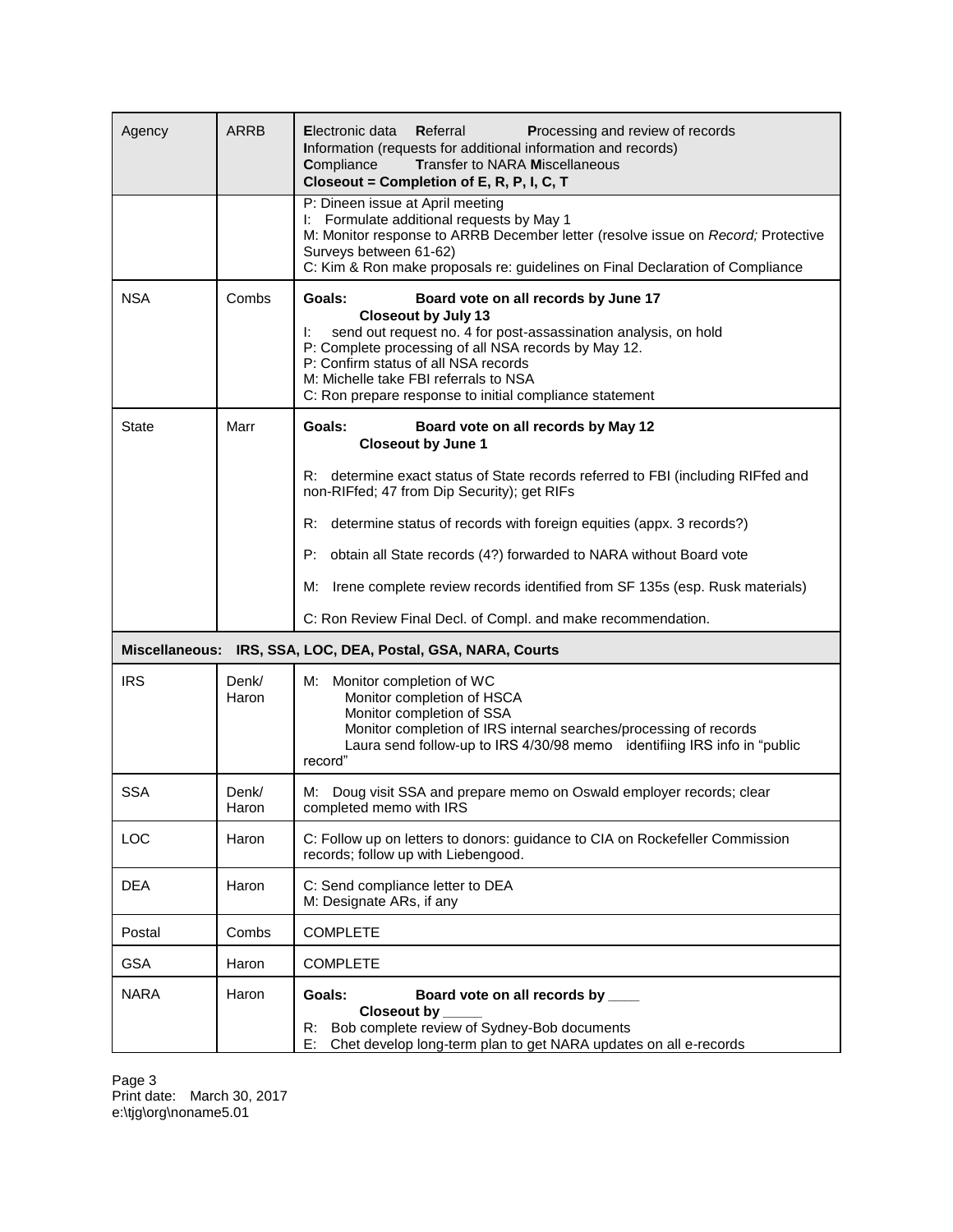| Agency                | <b>ARRB</b>    | Electronic data<br>Referral<br>Processing and review of records<br>Information (requests for additional information and records)<br><b>Transfer to NARA Miscellaneous</b><br><b>Compliance</b><br>Closeout = Completion of E, R, P, I, C, T                                                                                                               |
|-----------------------|----------------|-----------------------------------------------------------------------------------------------------------------------------------------------------------------------------------------------------------------------------------------------------------------------------------------------------------------------------------------------------------|
|                       |                | P: Dineen issue at April meeting<br>I: Formulate additional requests by May 1<br>M: Monitor response to ARRB December letter (resolve issue on Record; Protective<br>Surveys between 61-62)<br>C: Kim & Ron make proposals re: guidelines on Final Declaration of Compliance                                                                              |
| <b>NSA</b>            | Combs          | Goals:<br>Board vote on all records by June 17<br><b>Closeout by July 13</b><br>send out request no. 4 for post-assassination analysis, on hold<br>Ŀ.<br>P: Complete processing of all NSA records by May 12.<br>P: Confirm status of all NSA records<br>M: Michelle take FBI referrals to NSA<br>C: Ron prepare response to initial compliance statement |
| <b>State</b>          | Marr           | Goals:<br>Board vote on all records by May 12<br><b>Closeout by June 1</b>                                                                                                                                                                                                                                                                                |
|                       |                | R: determine exact status of State records referred to FBI (including RIFfed and<br>non-RIFfed; 47 from Dip Security); get RIFs                                                                                                                                                                                                                           |
|                       |                | determine status of records with foreign equities (appx. 3 records?)<br>R:                                                                                                                                                                                                                                                                                |
|                       |                | obtain all State records (4?) forwarded to NARA without Board vote<br>P:                                                                                                                                                                                                                                                                                  |
|                       |                | Irene complete review records identified from SF 135s (esp. Rusk materials)<br>М:                                                                                                                                                                                                                                                                         |
|                       |                | C: Ron Review Final Decl. of Compl. and make recommendation.                                                                                                                                                                                                                                                                                              |
| <b>Miscellaneous:</b> |                | IRS, SSA, LOC, DEA, Postal, GSA, NARA, Courts                                                                                                                                                                                                                                                                                                             |
| <b>IRS</b>            | Denk/<br>Haron | M: Monitor completion of WC<br>Monitor completion of HSCA<br>Monitor completion of SSA<br>Monitor completion of IRS internal searches/processing of records<br>Laura send follow-up to IRS 4/30/98 memo identifiing IRS info in "public"<br>record"                                                                                                       |
| <b>SSA</b>            | Denk/<br>Haron | M: Doug visit SSA and prepare memo on Oswald employer records; clear<br>completed memo with IRS                                                                                                                                                                                                                                                           |
| LOC                   | Haron          | C: Follow up on letters to donors: guidance to CIA on Rockefeller Commission<br>records; follow up with Liebengood.                                                                                                                                                                                                                                       |
| <b>DEA</b>            | Haron          | C: Send compliance letter to DEA<br>M: Designate ARs, if any                                                                                                                                                                                                                                                                                              |
| Postal                | Combs          | <b>COMPLETE</b>                                                                                                                                                                                                                                                                                                                                           |
| <b>GSA</b>            | Haron          | <b>COMPLETE</b>                                                                                                                                                                                                                                                                                                                                           |
| <b>NARA</b>           | Haron          | Goals:<br>Board vote on all records by ____<br>Closeout by<br>Bob complete review of Sydney-Bob documents<br>R:<br>Chet develop long-term plan to get NARA updates on all e-records<br>E:                                                                                                                                                                 |

Page 3 Print date: March 30, 2017 e:\tjg\org\noname5.01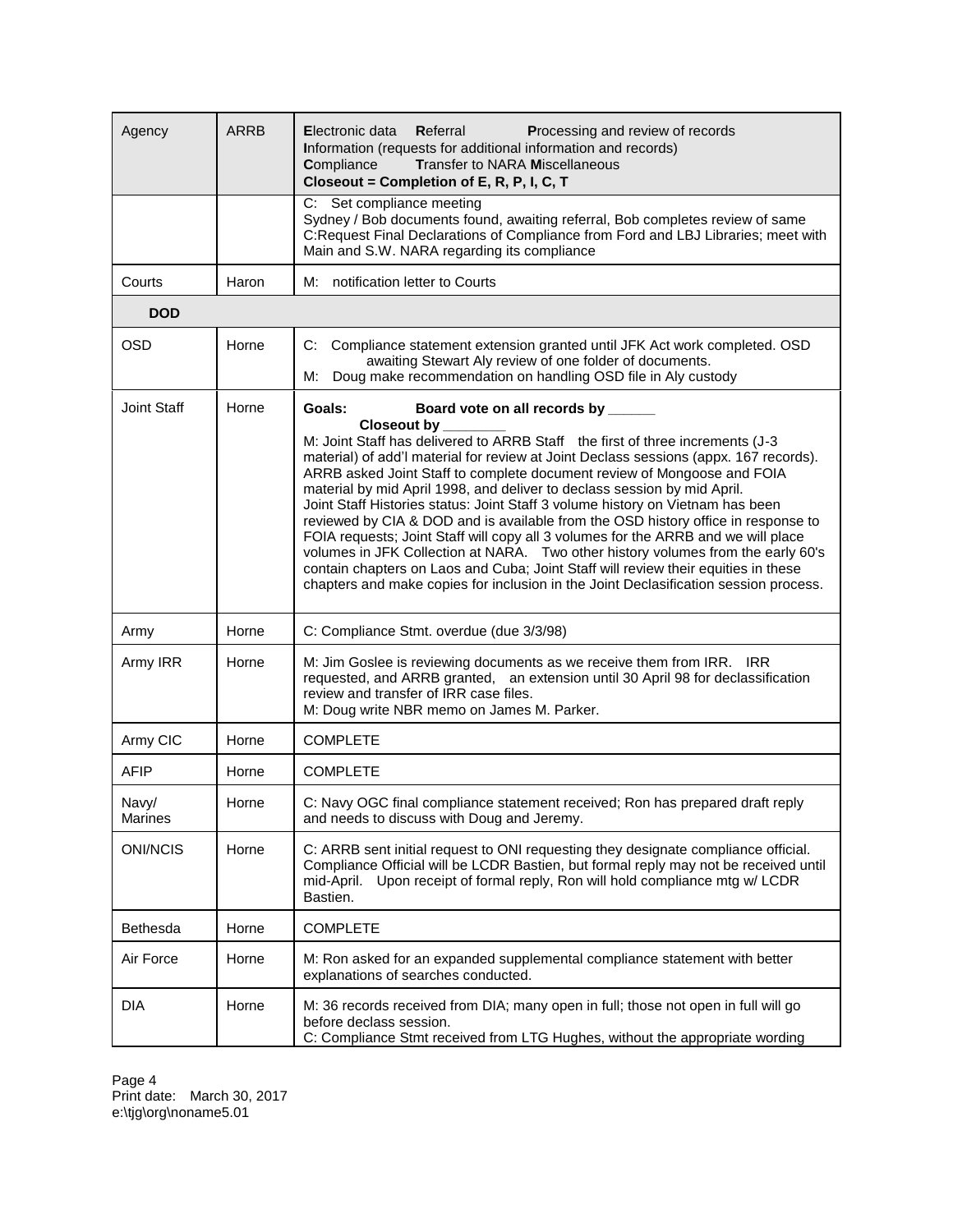| Agency                  | <b>ARRB</b> | Electronic data<br>Referral<br>Processing and review of records<br>Information (requests for additional information and records)<br><b>Transfer to NARA Miscellaneous</b><br>Compliance<br>Closeout = Completion of E, R, P, I, C, T                                                                                                                                                                                                                                                                                                                                                                                                                                                                                                                                                                                                                                                                                       |
|-------------------------|-------------|----------------------------------------------------------------------------------------------------------------------------------------------------------------------------------------------------------------------------------------------------------------------------------------------------------------------------------------------------------------------------------------------------------------------------------------------------------------------------------------------------------------------------------------------------------------------------------------------------------------------------------------------------------------------------------------------------------------------------------------------------------------------------------------------------------------------------------------------------------------------------------------------------------------------------|
|                         |             | C: Set compliance meeting<br>Sydney / Bob documents found, awaiting referral, Bob completes review of same<br>C:Request Final Declarations of Compliance from Ford and LBJ Libraries; meet with<br>Main and S.W. NARA regarding its compliance                                                                                                                                                                                                                                                                                                                                                                                                                                                                                                                                                                                                                                                                             |
| Courts                  | Haron       | notification letter to Courts<br>М:                                                                                                                                                                                                                                                                                                                                                                                                                                                                                                                                                                                                                                                                                                                                                                                                                                                                                        |
| <b>DOD</b>              |             |                                                                                                                                                                                                                                                                                                                                                                                                                                                                                                                                                                                                                                                                                                                                                                                                                                                                                                                            |
| <b>OSD</b>              | Horne       | C: Compliance statement extension granted until JFK Act work completed. OSD<br>awaiting Stewart Aly review of one folder of documents.<br>Doug make recommendation on handling OSD file in Aly custody<br>М:                                                                                                                                                                                                                                                                                                                                                                                                                                                                                                                                                                                                                                                                                                               |
| Joint Staff             | Horne       | Board vote on all records by _____<br>Goals:<br>Closeout by<br>M: Joint Staff has delivered to ARRB Staff the first of three increments (J-3<br>material) of add'l material for review at Joint Declass sessions (appx. 167 records).<br>ARRB asked Joint Staff to complete document review of Mongoose and FOIA<br>material by mid April 1998, and deliver to declass session by mid April.<br>Joint Staff Histories status: Joint Staff 3 volume history on Vietnam has been<br>reviewed by CIA & DOD and is available from the OSD history office in response to<br>FOIA requests; Joint Staff will copy all 3 volumes for the ARRB and we will place<br>volumes in JFK Collection at NARA. Two other history volumes from the early 60's<br>contain chapters on Laos and Cuba; Joint Staff will review their equities in these<br>chapters and make copies for inclusion in the Joint Declasification session process. |
| Army                    | Horne       | C: Compliance Stmt. overdue (due 3/3/98)                                                                                                                                                                                                                                                                                                                                                                                                                                                                                                                                                                                                                                                                                                                                                                                                                                                                                   |
| Army IRR                | Horne       | M: Jim Goslee is reviewing documents as we receive them from IRR. IRR<br>requested, and ARRB granted, an extension until 30 April 98 for declassification<br>review and transfer of IRR case files.<br>M: Doug write NBR memo on James M. Parker.                                                                                                                                                                                                                                                                                                                                                                                                                                                                                                                                                                                                                                                                          |
| Army CIC                | Horne       | <b>COMPLETE</b>                                                                                                                                                                                                                                                                                                                                                                                                                                                                                                                                                                                                                                                                                                                                                                                                                                                                                                            |
| <b>AFIP</b>             | Horne       | <b>COMPLETE</b>                                                                                                                                                                                                                                                                                                                                                                                                                                                                                                                                                                                                                                                                                                                                                                                                                                                                                                            |
| Navy/<br><b>Marines</b> | Horne       | C: Navy OGC final compliance statement received; Ron has prepared draft reply<br>and needs to discuss with Doug and Jeremy.                                                                                                                                                                                                                                                                                                                                                                                                                                                                                                                                                                                                                                                                                                                                                                                                |
| ONI/NCIS                | Horne       | C: ARRB sent initial request to ONI requesting they designate compliance official.<br>Compliance Official will be LCDR Bastien, but formal reply may not be received until<br>mid-April. Upon receipt of formal reply, Ron will hold compliance mtg w/ LCDR<br>Bastien.                                                                                                                                                                                                                                                                                                                                                                                                                                                                                                                                                                                                                                                    |
| <b>Bethesda</b>         | Horne       | <b>COMPLETE</b>                                                                                                                                                                                                                                                                                                                                                                                                                                                                                                                                                                                                                                                                                                                                                                                                                                                                                                            |
| Air Force               | Horne       | M: Ron asked for an expanded supplemental compliance statement with better<br>explanations of searches conducted.                                                                                                                                                                                                                                                                                                                                                                                                                                                                                                                                                                                                                                                                                                                                                                                                          |
| <b>DIA</b>              | Horne       | M: 36 records received from DIA; many open in full; those not open in full will go<br>before declass session.<br>C: Compliance Stmt received from LTG Hughes, without the appropriate wording                                                                                                                                                                                                                                                                                                                                                                                                                                                                                                                                                                                                                                                                                                                              |

Page 4 Print date: March 30, 2017 e:\tjg\org\noname5.01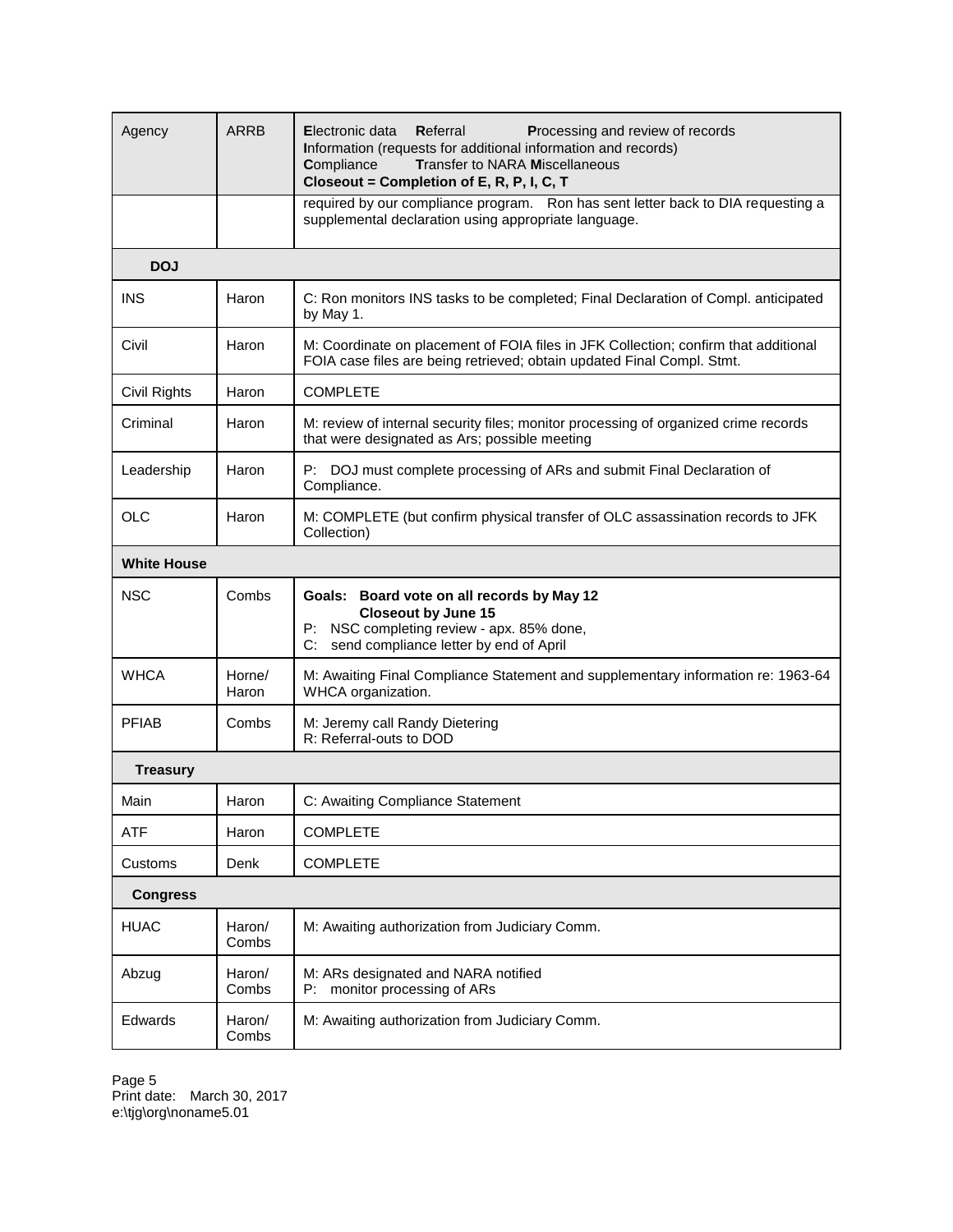| Agency             | <b>ARRB</b>     | Electronic data<br>Referral<br>Processing and review of records<br>Information (requests for additional information and records)<br><b>Transfer to NARA Miscellaneous</b><br>Compliance<br>Closeout = Completion of E, R, P, I, C, T |
|--------------------|-----------------|--------------------------------------------------------------------------------------------------------------------------------------------------------------------------------------------------------------------------------------|
|                    |                 | required by our compliance program. Ron has sent letter back to DIA requesting a<br>supplemental declaration using appropriate language.                                                                                             |
| <b>DOJ</b>         |                 |                                                                                                                                                                                                                                      |
| <b>INS</b>         | Haron           | C: Ron monitors INS tasks to be completed; Final Declaration of Compl. anticipated<br>by May 1.                                                                                                                                      |
| Civil              | Haron           | M: Coordinate on placement of FOIA files in JFK Collection; confirm that additional<br>FOIA case files are being retrieved; obtain updated Final Compl. Stmt.                                                                        |
| Civil Rights       | Haron           | <b>COMPLETE</b>                                                                                                                                                                                                                      |
| Criminal           | Haron           | M: review of internal security files; monitor processing of organized crime records<br>that were designated as Ars; possible meeting                                                                                                 |
| Leadership         | Haron           | DOJ must complete processing of ARs and submit Final Declaration of<br>P: .<br>Compliance.                                                                                                                                           |
| <b>OLC</b>         | Haron           | M: COMPLETE (but confirm physical transfer of OLC assassination records to JFK<br>Collection)                                                                                                                                        |
| <b>White House</b> |                 |                                                                                                                                                                                                                                      |
| <b>NSC</b>         | Combs           | Goals: Board vote on all records by May 12<br><b>Closeout by June 15</b><br>NSC completing review - apx. 85% done,<br>P:<br>send compliance letter by end of April<br>C:                                                             |
| <b>WHCA</b>        | Horne/<br>Haron | M: Awaiting Final Compliance Statement and supplementary information re: 1963-64<br>WHCA organization.                                                                                                                               |
| <b>PFIAB</b>       | Combs           | M: Jeremy call Randy Dietering<br>R: Referral-outs to DOD                                                                                                                                                                            |
| <b>Treasury</b>    |                 |                                                                                                                                                                                                                                      |
| Main               | Haron           | C: Awaiting Compliance Statement                                                                                                                                                                                                     |
| <b>ATF</b>         | Haron           | <b>COMPLETE</b>                                                                                                                                                                                                                      |
| Customs            | Denk            | <b>COMPLETE</b>                                                                                                                                                                                                                      |
| <b>Congress</b>    |                 |                                                                                                                                                                                                                                      |
| <b>HUAC</b>        | Haron/<br>Combs | M: Awaiting authorization from Judiciary Comm.                                                                                                                                                                                       |
| Abzug              | Haron/<br>Combs | M: ARs designated and NARA notified<br>monitor processing of ARs<br>P:                                                                                                                                                               |
| Edwards            | Haron/<br>Combs | M: Awaiting authorization from Judiciary Comm.                                                                                                                                                                                       |

Page 5 Print date: March 30, 2017 e:\tjg\org\noname5.01